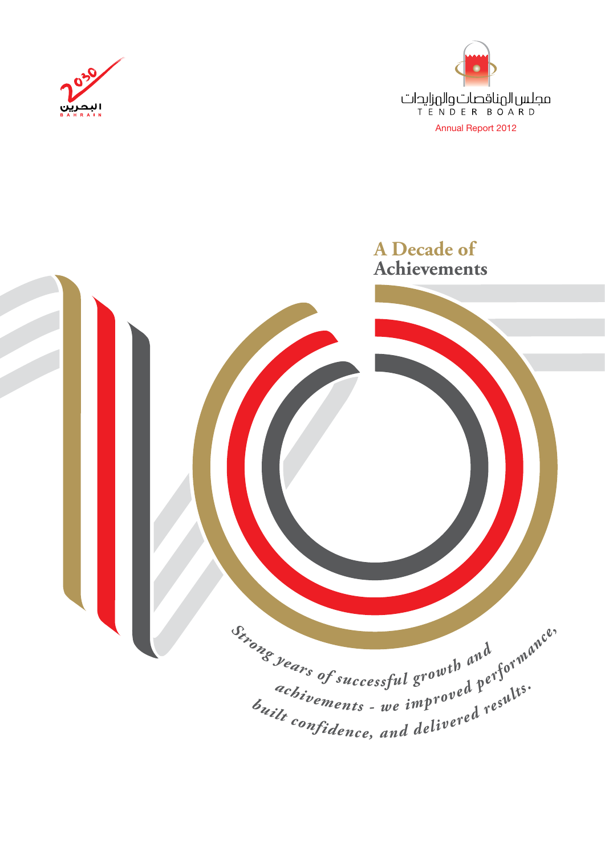



## **A Decade of Achievements** Sinong years of successful growth and years of successful growth and cormance. <sup>achivements</sup> - we improved persults.<br>  $b_{uilt}$  confidence, and delivered results.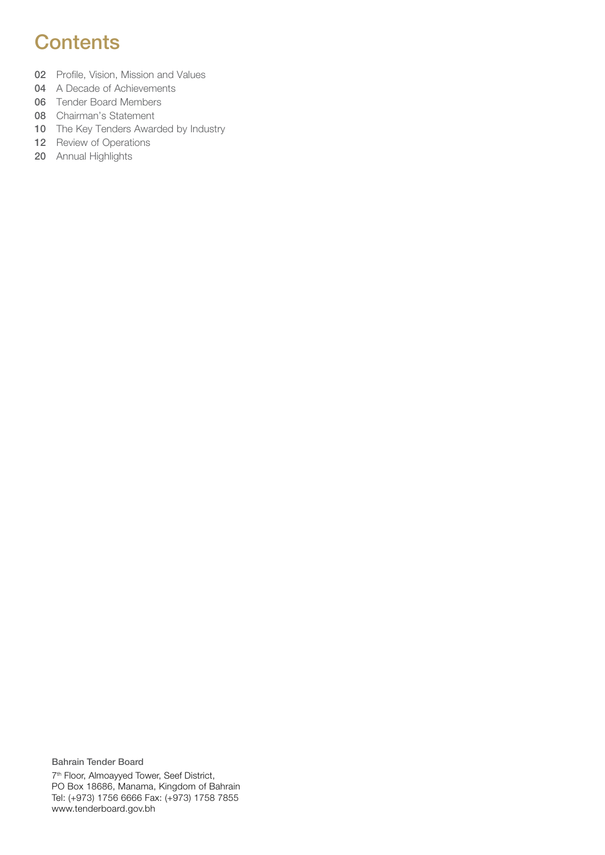#### **Contents**

- 02 Profile, Vision, Mission and Values
- 04 A Decade of Achievements
- 06 Tender Board Members
- 08 Chairman's Statement
- 10 The Key Tenders Awarded by Industry
- 12 Review of Operations
- 20 Annual Highlights

Bahrain Tender Board 7th Floor, Almoayyed Tower, Seef District, PO Box 18686, Manama, Kingdom of Bahrain Tel: (+973) 1756 6666 Fax: (+973) 1758 7855 www.tenderboard.gov.bh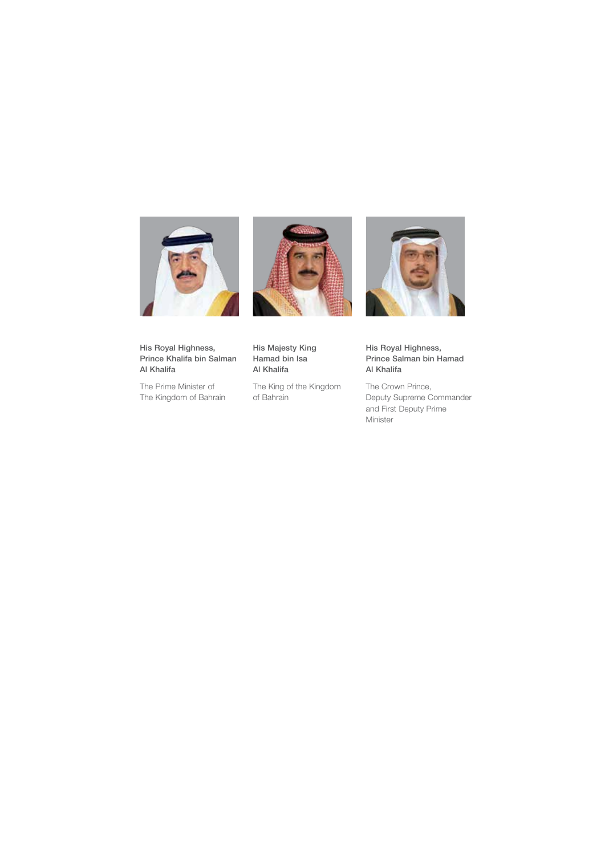



His Royal Highness, Prince Khalifa bin Salman Al Khalifa

The Prime Minister of The Kingdom of Bahrain Al Khalifa The King of the Kingdom of Bahrain

His Majesty King Hamad bin Isa



His Royal Highness, Prince Salman bin Hamad Al Khalifa

The Crown Prince, Deputy Supreme Commander and First Deputy Prime Minister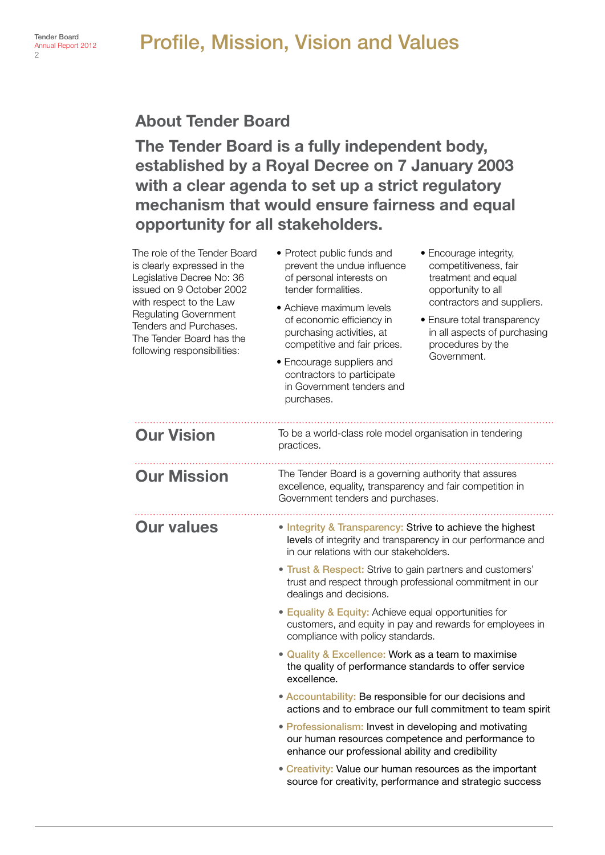#### Profile, Mission, Vision and Values

#### About Tender Board

The Tender Board is a fully independent body, established by a Royal Decree on 7 January 2003 with a clear agenda to set up a strict regulatory mechanism that would ensure fairness and equal opportunity for all stakeholders.

| The role of the Tender Board<br>is clearly expressed in the<br>Legislative Decree No: 36<br>issued on 9 October 2002<br>with respect to the Law<br><b>Regulating Government</b><br>Tenders and Purchases.<br>The Tender Board has the<br>following responsibilities: | • Protect public funds and<br>prevent the undue influence<br>of personal interests on<br>tender formalities.<br>• Achieve maximum levels<br>of economic efficiency in<br>purchasing activities, at<br>competitive and fair prices.<br>• Encourage suppliers and<br>contractors to participate<br>in Government tenders and<br>purchases. | • Encourage integrity,<br>competitiveness, fair<br>treatment and equal<br>opportunity to all<br>contractors and suppliers.<br>• Ensure total transparency<br>in all aspects of purchasing<br>procedures by the<br>Government. |
|----------------------------------------------------------------------------------------------------------------------------------------------------------------------------------------------------------------------------------------------------------------------|------------------------------------------------------------------------------------------------------------------------------------------------------------------------------------------------------------------------------------------------------------------------------------------------------------------------------------------|-------------------------------------------------------------------------------------------------------------------------------------------------------------------------------------------------------------------------------|
| <b>Our Vision</b>                                                                                                                                                                                                                                                    | To be a world-class role model organisation in tendering<br>practices.                                                                                                                                                                                                                                                                   |                                                                                                                                                                                                                               |
| <b>Our Mission</b>                                                                                                                                                                                                                                                   | The Tender Board is a governing authority that assures<br>excellence, equality, transparency and fair competition in<br>Government tenders and purchases.                                                                                                                                                                                |                                                                                                                                                                                                                               |
| <b>Our values</b>                                                                                                                                                                                                                                                    | . Integrity & Transparency: Strive to achieve the highest<br>in our relations with our stakeholders.                                                                                                                                                                                                                                     | levels of integrity and transparency in our performance and                                                                                                                                                                   |
|                                                                                                                                                                                                                                                                      | • Trust & Respect: Strive to gain partners and customers'<br>trust and respect through professional commitment in our<br>dealings and decisions.                                                                                                                                                                                         |                                                                                                                                                                                                                               |
|                                                                                                                                                                                                                                                                      | • Equality & Equity: Achieve equal opportunities for<br>compliance with policy standards.                                                                                                                                                                                                                                                | customers, and equity in pay and rewards for employees in                                                                                                                                                                     |
|                                                                                                                                                                                                                                                                      | • Quality & Excellence: Work as a team to maximise<br>the quality of performance standards to offer service<br>excellence.                                                                                                                                                                                                               |                                                                                                                                                                                                                               |
|                                                                                                                                                                                                                                                                      | • Accountability: Be responsible for our decisions and                                                                                                                                                                                                                                                                                   | actions and to embrace our full commitment to team spirit                                                                                                                                                                     |
|                                                                                                                                                                                                                                                                      | · Professionalism: Invest in developing and motivating<br>our human resources competence and performance to<br>enhance our professional ability and credibility                                                                                                                                                                          |                                                                                                                                                                                                                               |
|                                                                                                                                                                                                                                                                      | • Creativity: Value our human resources as the important                                                                                                                                                                                                                                                                                 | source for creativity, performance and strategic success                                                                                                                                                                      |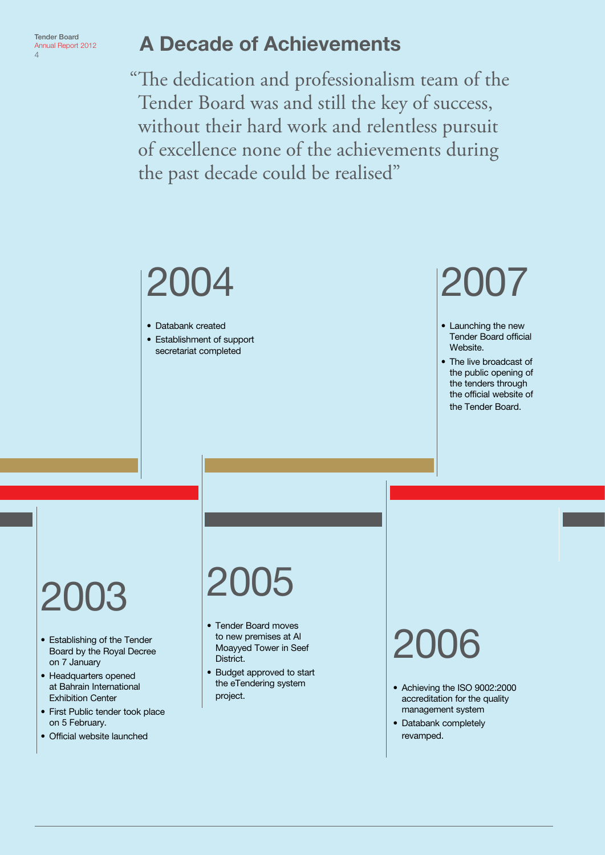Tender Board Annual Report 2012  $\overline{A}$ 

#### A Decade of Achievements

"The dedication and professionalism team of the Tender Board was and still the key of success, without their hard work and relentless pursuit of excellence none of the achievements during the past decade could be realised"

### 2004

• Databank created

• Establishment of support secretariat completed

## 2007

- Launching the new Tender Board official Website.
- The live broadcast of the public opening of the tenders through the official website of the Tender Board.

## 2003

- Establishing of the Tender Board by the Royal Decree on 7 January
- Headquarters opened at Bahrain International Exhibition Center
- First Public tender took place on 5 February.
- Official website launched

## 2005

- Tender Board moves to new premises at Al Moayyed Tower in Seef District.
- Budget approved to start the eTendering system project.

- Achieving the ISO 9002:2000 accreditation for the quality management system
- Databank completely revamped.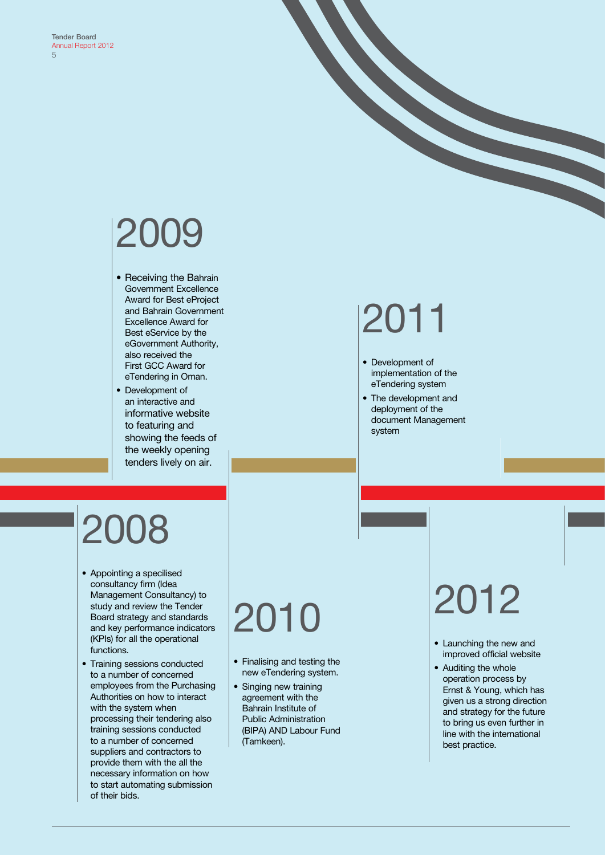## 2009

- Receiving the Bahrain Government Excellence Award for Best eProject and Bahrain Government Excellence Award for Best eService by the eGovernment Authority, also received the First GCC Award for eTendering in Oman.
- Development of an interactive and informative website to featuring and showing the feeds of the weekly opening tenders lively on air.

## 2011

- Development of implementation of the eTendering system
- The development and deployment of the document Management system

## 2008

- Appointing a specilised consultancy firm (Idea Management Consultancy) to study and review the Tender Board strategy and standards and key performance indicators (KPIs) for all the operational functions.
- Training sessions conducted to a number of concerned employees from the Purchasing Authorities on how to interact with the system when processing their tendering also training sessions conducted to a number of concerned suppliers and contractors to provide them with the all the necessary information on how to start automating submission of their bids.

## 2010

- Finalising and testing the new eTendering system.
- Singing new training agreement with the Bahrain Institute of Public Administration (BIPA) AND Labour Fund (Tamkeen).

- Launching the new and improved official website
- Auditing the whole operation process by Ernst & Young, which has given us a strong direction and strategy for the future to bring us even further in line with the international best practice.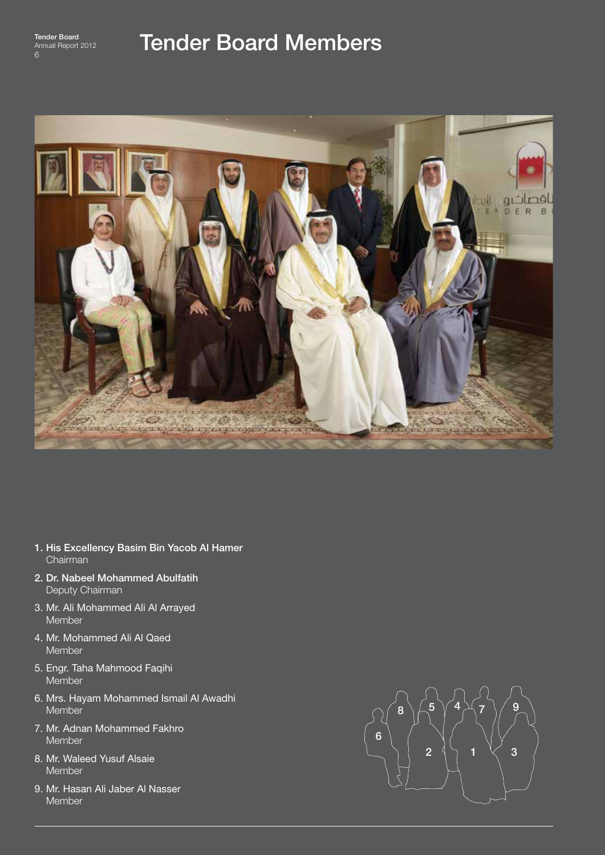

#### Tender Board Members



- 1. His Excellency Basim Bin Yacob Al Hamer Chairman
- 2. Dr. Nabeel Mohammed Abulfatih Deputy Chairman
- 3. Mr. Ali Mohammed Ali Al Arrayed Member
- 4. Mr. Mohammed Ali Al Qaed Member
- 5. Engr. Taha Mahmood Faqihi Member
- 6. Mrs. Hayam Mohammed Ismail Al Awadhi **Member**
- 7. Mr. Adnan Mohammed Fakhro Member
- 8. Mr. Waleed Yusuf Alsaie Member
- 9. Mr. Hasan Ali Jaber Al Nasser Member

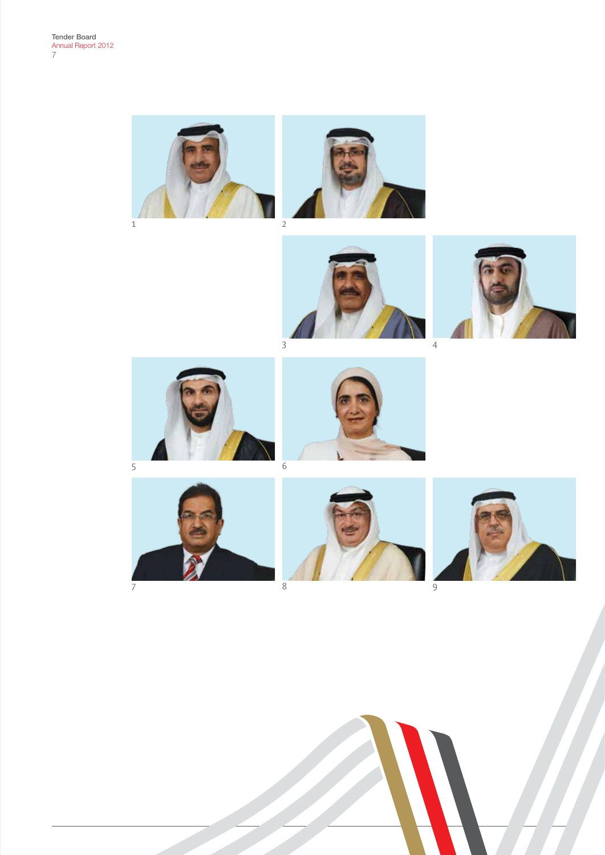



















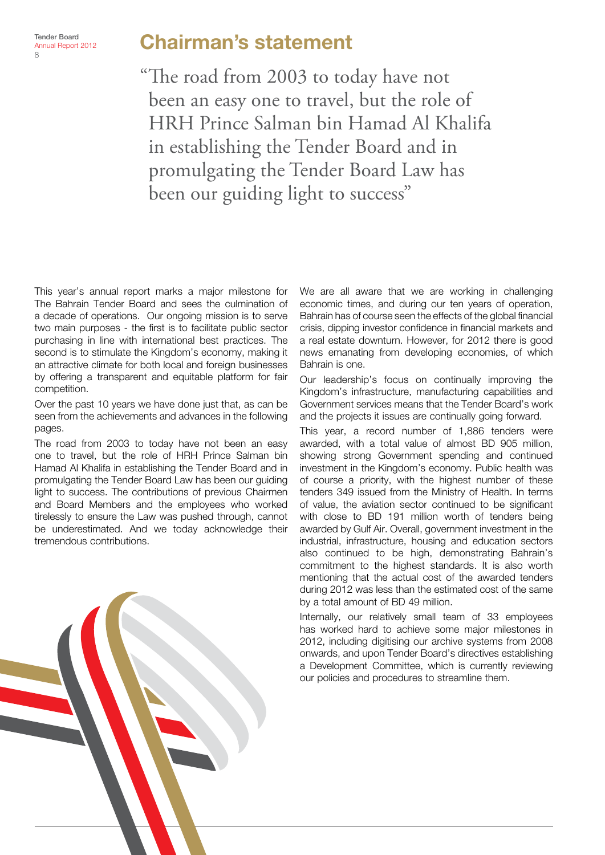#### Chairman's statement

"The road from 2003 to today have not been an easy one to travel, but the role of HRH Prince Salman bin Hamad Al Khalifa in establishing the Tender Board and in promulgating the Tender Board Law has been our guiding light to success"

This year's annual report marks a major milestone for The Bahrain Tender Board and sees the culmination of a decade of operations. Our ongoing mission is to serve two main purposes - the first is to facilitate public sector purchasing in line with international best practices. The second is to stimulate the Kingdom's economy, making it an attractive climate for both local and foreign businesses by offering a transparent and equitable platform for fair competition.

Over the past 10 years we have done just that, as can be seen from the achievements and advances in the following pages.

The road from 2003 to today have not been an easy one to travel, but the role of HRH Prince Salman bin Hamad Al Khalifa in establishing the Tender Board and in promulgating the Tender Board Law has been our guiding light to success. The contributions of previous Chairmen and Board Members and the employees who worked tirelessly to ensure the Law was pushed through, cannot be underestimated. And we today acknowledge their tremendous contributions.

We are all aware that we are working in challenging economic times, and during our ten years of operation, Bahrain has of course seen the effects of the global financial crisis, dipping investor confidence in financial markets and a real estate downturn. However, for 2012 there is good news emanating from developing economies, of which Bahrain is one.

Our leadership's focus on continually improving the Kingdom's infrastructure, manufacturing capabilities and Government services means that the Tender Board's work and the projects it issues are continually going forward.

This year, a record number of 1,886 tenders were awarded, with a total value of almost BD 905 million, showing strong Government spending and continued investment in the Kingdom's economy. Public health was of course a priority, with the highest number of these tenders 349 issued from the Ministry of Health. In terms of value, the aviation sector continued to be significant with close to BD 191 million worth of tenders being awarded by Gulf Air. Overall, government investment in the industrial, infrastructure, housing and education sectors also continued to be high, demonstrating Bahrain's commitment to the highest standards. It is also worth mentioning that the actual cost of the awarded tenders during 2012 was less than the estimated cost of the same by a total amount of BD 49 million.

Internally, our relatively small team of 33 employees has worked hard to achieve some major milestones in 2012, including digitising our archive systems from 2008 onwards, and upon Tender Board's directives establishing a Development Committee, which is currently reviewing our policies and procedures to streamline them.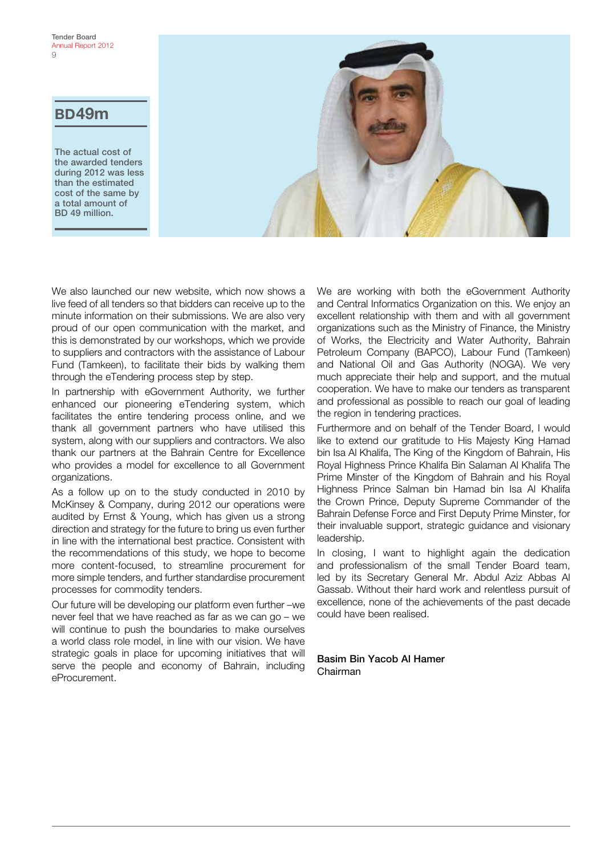#### BD49m

The actual cost of the awarded tenders during 2012 was less than the estimated cost of the same by a total amount of BD 49 million.



We also launched our new website, which now shows a live feed of all tenders so that bidders can receive up to the minute information on their submissions. We are also very proud of our open communication with the market, and this is demonstrated by our workshops, which we provide to suppliers and contractors with the assistance of Labour Fund (Tamkeen), to facilitate their bids by walking them through the eTendering process step by step.

In partnership with eGovernment Authority, we further enhanced our pioneering eTendering system, which facilitates the entire tendering process online, and we thank all government partners who have utilised this system, along with our suppliers and contractors. We also thank our partners at the Bahrain Centre for Excellence who provides a model for excellence to all Government organizations.

As a follow up on to the study conducted in 2010 by McKinsey & Company, during 2012 our operations were audited by Ernst & Young, which has given us a strong direction and strategy for the future to bring us even further in line with the international best practice. Consistent with the recommendations of this study, we hope to become more content-focused, to streamline procurement for more simple tenders, and further standardise procurement processes for commodity tenders.

Our future will be developing our platform even further –we never feel that we have reached as far as we can go – we will continue to push the boundaries to make ourselves a world class role model, in line with our vision. We have strategic goals in place for upcoming initiatives that will serve the people and economy of Bahrain, including eProcurement.

We are working with both the eGovernment Authority and Central Informatics Organization on this. We enjoy an excellent relationship with them and with all government organizations such as the Ministry of Finance, the Ministry of Works, the Electricity and Water Authority, Bahrain Petroleum Company (BAPCO), Labour Fund (Tamkeen) and National Oil and Gas Authority (NOGA). We very much appreciate their help and support, and the mutual cooperation. We have to make our tenders as transparent and professional as possible to reach our goal of leading the region in tendering practices.

Furthermore and on behalf of the Tender Board, I would like to extend our gratitude to His Majesty King Hamad bin Isa Al Khalifa, The King of the Kingdom of Bahrain, His Royal Highness Prince Khalifa Bin Salaman Al Khalifa The Prime Minster of the Kingdom of Bahrain and his Royal Highness Prince Salman bin Hamad bin Isa Al Khalifa the Crown Prince, Deputy Supreme Commander of the Bahrain Defense Force and First Deputy Prime Minster, for their invaluable support, strategic guidance and visionary leadership.

In closing. I want to highlight again the dedication and professionalism of the small Tender Board team, led by its Secretary General Mr. Abdul Aziz Abbas Al Gassab. Without their hard work and relentless pursuit of excellence, none of the achievements of the past decade could have been realised.

Basim Bin Yacob Al Hamer Chairman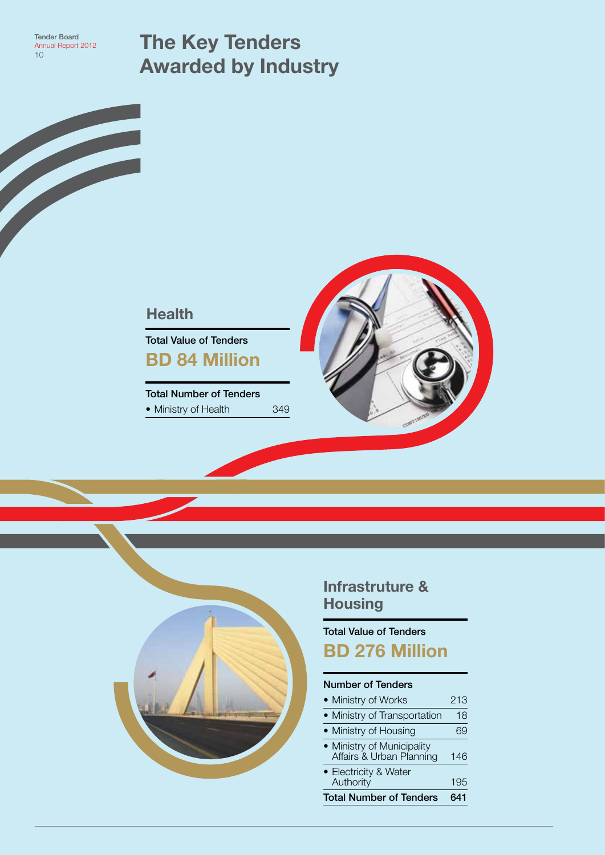The Key Tenders Awarded by Industry

#### **Health**

Total Value of Tenders BD 84 Million

Total Number of Tenders • Ministry of Health 349





#### Infrastruture & **Housing**

Total Value of Tenders BD 276 Million

#### Number of Tenders

| <b>Total Number of Tenders</b>                         | 641 |
|--------------------------------------------------------|-----|
| • Electricity & Water<br>Authority                     | 195 |
| • Ministry of Municipality<br>Affairs & Urban Planning | 146 |
| • Ministry of Housing                                  |     |
| • Ministry of Transportation                           | 18  |
| • Ministry of Works                                    | 213 |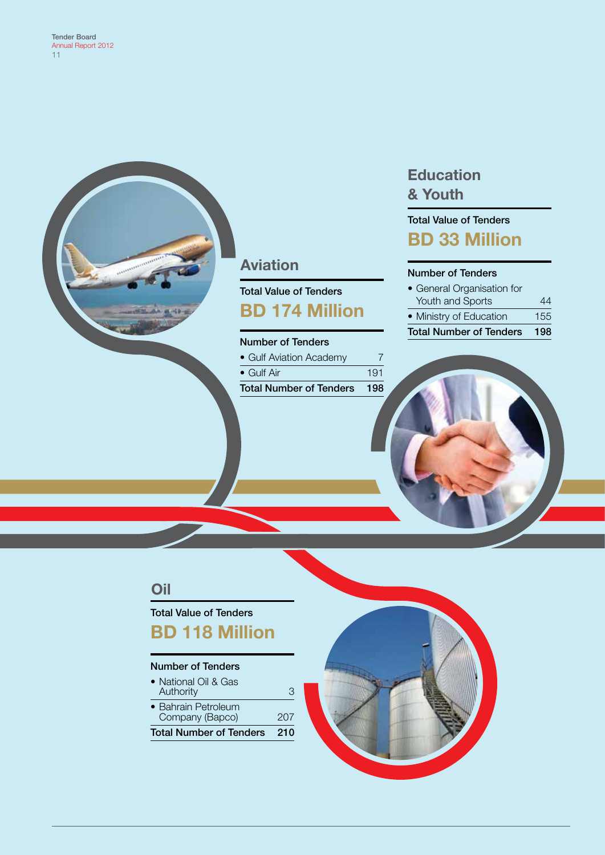

#### Aviation

Total Value of Tenders BD 174 Million

#### Number of Tenders

| <b>Total Number of Tenders 198</b> |     |
|------------------------------------|-----|
| $\bullet$ Gulf Air                 | 191 |
| • Gulf Aviation Academy            |     |

#### **Education** & Youth

#### Total Value of Tenders BD 33 Million

#### Number of Tenders

| <b>Total Number of Tenders</b><br>198 |     |  |  |  |  |  |
|---------------------------------------|-----|--|--|--|--|--|
| • Ministry of Education               | 155 |  |  |  |  |  |
| Youth and Sports                      | 44  |  |  |  |  |  |
| • General Organisation for            |     |  |  |  |  |  |

#### Oil

#### Total Value of Tenders

BD 118 Million

#### Number of Tenders

| Total Number of Tenders                | 210 |
|----------------------------------------|-----|
| • Bahrain Petroleum<br>Company (Bapco) | 207 |
| • National Oil & Gas<br>Authority      | З   |

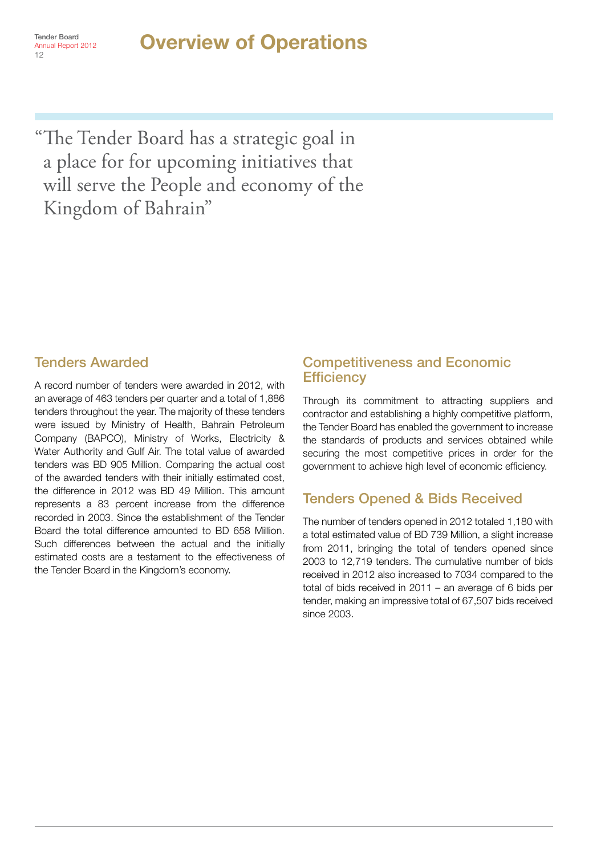Annual Report 2012

12

#### Tender Board **Consumer Board Consumer Person 2012**

"The Tender Board has a strategic goal in a place for for upcoming initiatives that will serve the People and economy of the Kingdom of Bahrain"

#### Tenders Awarded

A record number of tenders were awarded in 2012, with an average of 463 tenders per quarter and a total of 1,886 tenders throughout the year. The majority of these tenders were issued by Ministry of Health, Bahrain Petroleum Company (BAPCO), Ministry of Works, Electricity & Water Authority and Gulf Air. The total value of awarded tenders was BD 905 Million. Comparing the actual cost of the awarded tenders with their initially estimated cost, the difference in 2012 was BD 49 Million. This amount represents a 83 percent increase from the difference recorded in 2003. Since the establishment of the Tender Board the total difference amounted to BD 658 Million. Such differences between the actual and the initially estimated costs are a testament to the effectiveness of the Tender Board in the Kingdom's economy.

#### Competitiveness and Economic **Efficiency**

Through its commitment to attracting suppliers and contractor and establishing a highly competitive platform, the Tender Board has enabled the government to increase the standards of products and services obtained while securing the most competitive prices in order for the government to achieve high level of economic efficiency.

#### Tenders Opened & Bids Received

The number of tenders opened in 2012 totaled 1,180 with a total estimated value of BD 739 Million, a slight increase from 2011, bringing the total of tenders opened since 2003 to 12,719 tenders. The cumulative number of bids received in 2012 also increased to 7034 compared to the total of bids received in 2011 – an average of 6 bids per tender, making an impressive total of 67,507 bids received since 2003.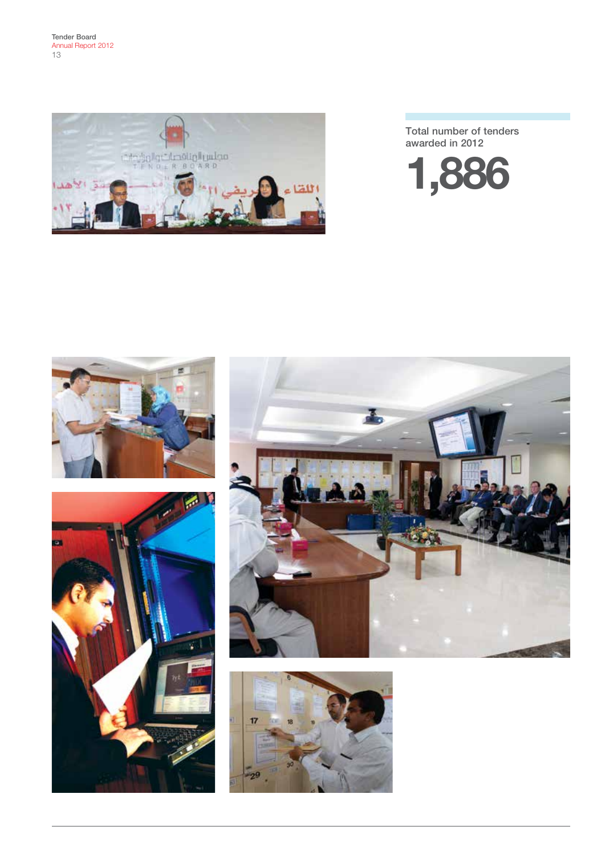

Total number of tenders awarded in 2012









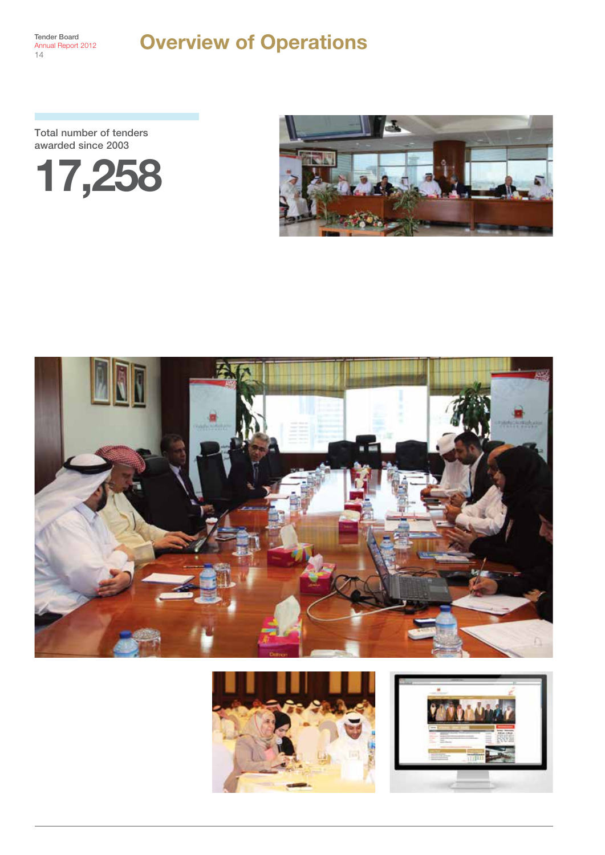Annual Report 2012 14

#### Tender Board<br>Annual Report 2012 **Overview of Operations**

Total number of tenders awarded since 2003









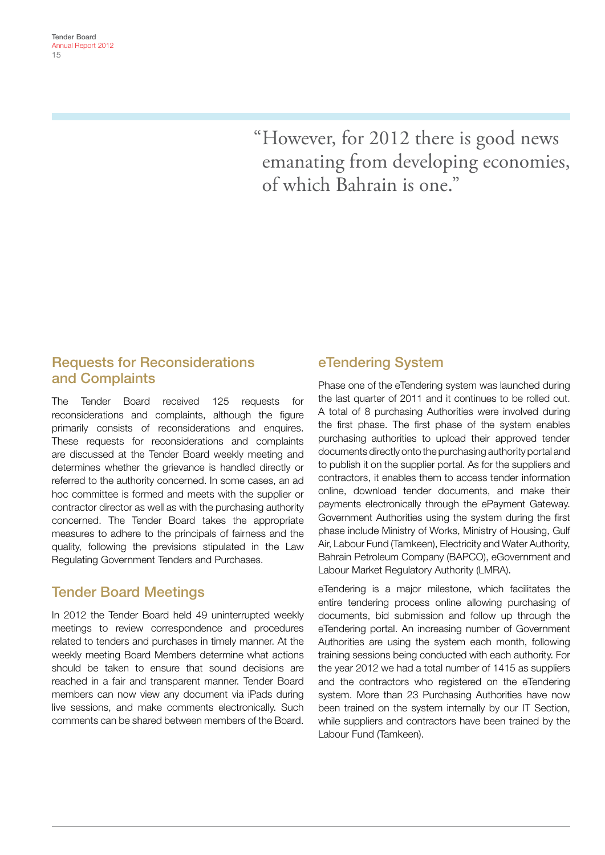"However, for 2012 there is good news emanating from developing economies, of which Bahrain is one."

#### Requests for Reconsiderations and Complaints

The Tender Board received 125 requests for reconsiderations and complaints, although the figure primarily consists of reconsiderations and enquires. These requests for reconsiderations and complaints are discussed at the Tender Board weekly meeting and determines whether the grievance is handled directly or referred to the authority concerned. In some cases, an ad hoc committee is formed and meets with the supplier or contractor director as well as with the purchasing authority concerned. The Tender Board takes the appropriate measures to adhere to the principals of fairness and the quality, following the previsions stipulated in the Law Regulating Government Tenders and Purchases.

#### Tender Board Meetings

In 2012 the Tender Board held 49 uninterrupted weekly meetings to review correspondence and procedures related to tenders and purchases in timely manner. At the weekly meeting Board Members determine what actions should be taken to ensure that sound decisions are reached in a fair and transparent manner. Tender Board members can now view any document via iPads during live sessions, and make comments electronically. Such comments can be shared between members of the Board.

#### eTendering System

Phase one of the eTendering system was launched during the last quarter of 2011 and it continues to be rolled out. A total of 8 purchasing Authorities were involved during the first phase. The first phase of the system enables purchasing authorities to upload their approved tender documents directly onto the purchasing authority portal and to publish it on the supplier portal. As for the suppliers and contractors, it enables them to access tender information online, download tender documents, and make their payments electronically through the ePayment Gateway. Government Authorities using the system during the first phase include Ministry of Works, Ministry of Housing, Gulf Air, Labour Fund (Tamkeen), Electricity and Water Authority, Bahrain Petroleum Company (BAPCO), eGovernment and Labour Market Regulatory Authority (LMRA).

eTendering is a major milestone, which facilitates the entire tendering process online allowing purchasing of documents, bid submission and follow up through the eTendering portal. An increasing number of Government Authorities are using the system each month, following training sessions being conducted with each authority. For the year 2012 we had a total number of 1415 as suppliers and the contractors who registered on the eTendering system. More than 23 Purchasing Authorities have now been trained on the system internally by our IT Section, while suppliers and contractors have been trained by the Labour Fund (Tamkeen).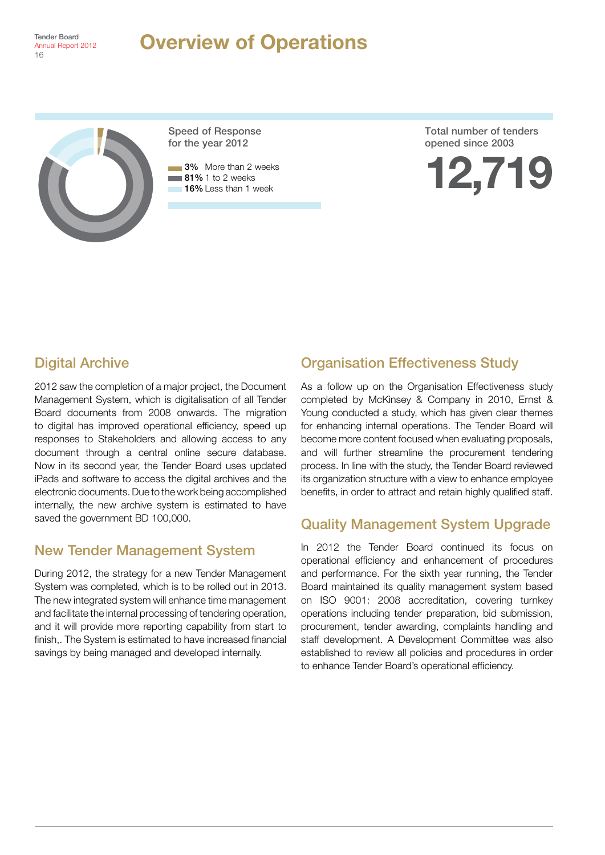

#### Tender Board **Consumer Board Consumer Person 2012**



Speed of Response for the year 2012

**3%** More than 2 weeks  $\blacksquare$  81% 1 to 2 weeks **16%** Less than 1 week

Total number of tenders opened since 2003



#### Digital Archive

2012 saw the completion of a major project, the Document Management System, which is digitalisation of all Tender Board documents from 2008 onwards. The migration to digital has improved operational efficiency, speed up responses to Stakeholders and allowing access to any document through a central online secure database. Now in its second year, the Tender Board uses updated iPads and software to access the digital archives and the electronic documents. Due to the work being accomplished internally, the new archive system is estimated to have saved the government BD 100,000.

#### New Tender Management System

During 2012, the strategy for a new Tender Management System was completed, which is to be rolled out in 2013. The new integrated system will enhance time management and facilitate the internal processing of tendering operation, and it will provide more reporting capability from start to finish,. The System is estimated to have increased financial savings by being managed and developed internally.

#### Organisation Effectiveness Study

As a follow up on the Organisation Effectiveness study completed by McKinsey & Company in 2010, Ernst & Young conducted a study, which has given clear themes for enhancing internal operations. The Tender Board will become more content focused when evaluating proposals, and will further streamline the procurement tendering process. In line with the study, the Tender Board reviewed its organization structure with a view to enhance employee benefits, in order to attract and retain highly qualified staff.

#### Quality Management System Upgrade

In 2012 the Tender Board continued its focus on operational efficiency and enhancement of procedures and performance. For the sixth year running, the Tender Board maintained its quality management system based on ISO 9001: 2008 accreditation, covering turnkey operations including tender preparation, bid submission, procurement, tender awarding, complaints handling and staff development. A Development Committee was also established to review all policies and procedures in order to enhance Tender Board's operational efficiency.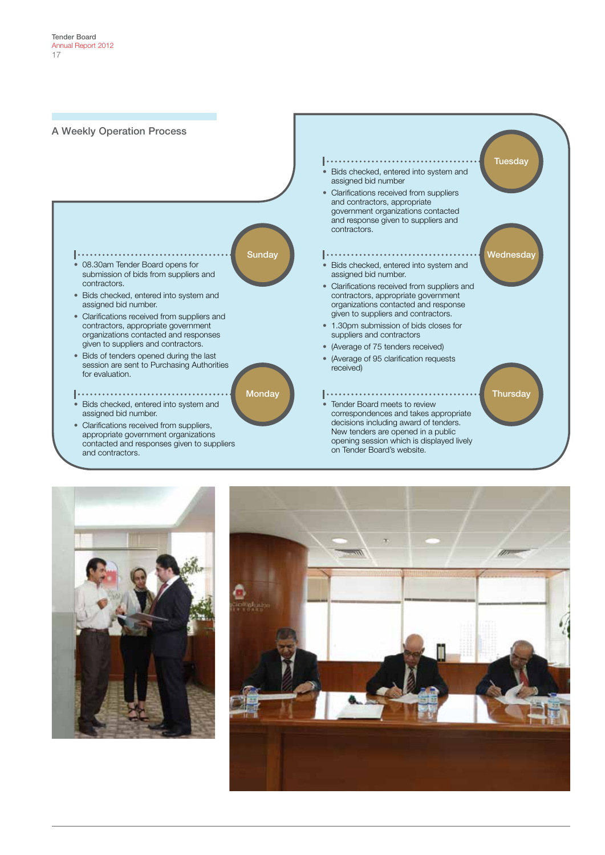



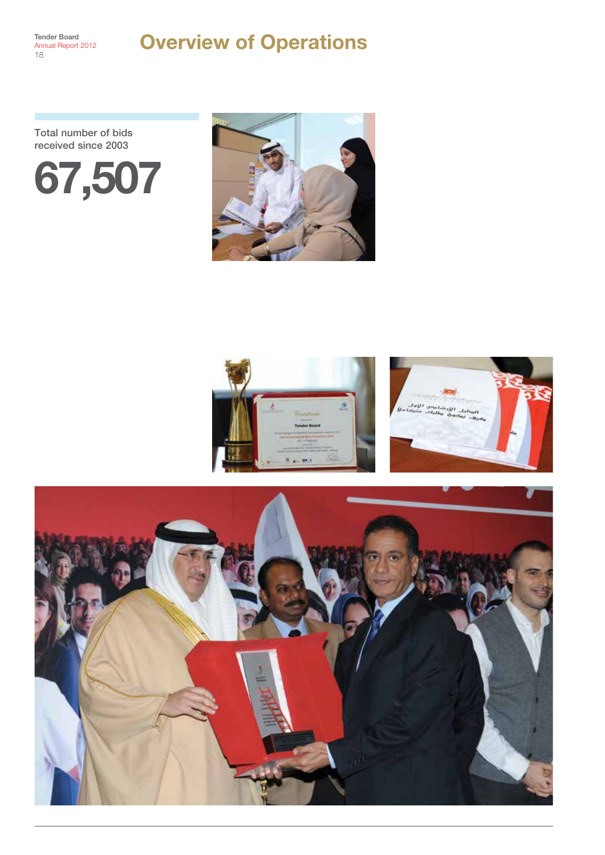#### Overview of Operations

Total number of bids received since 2003







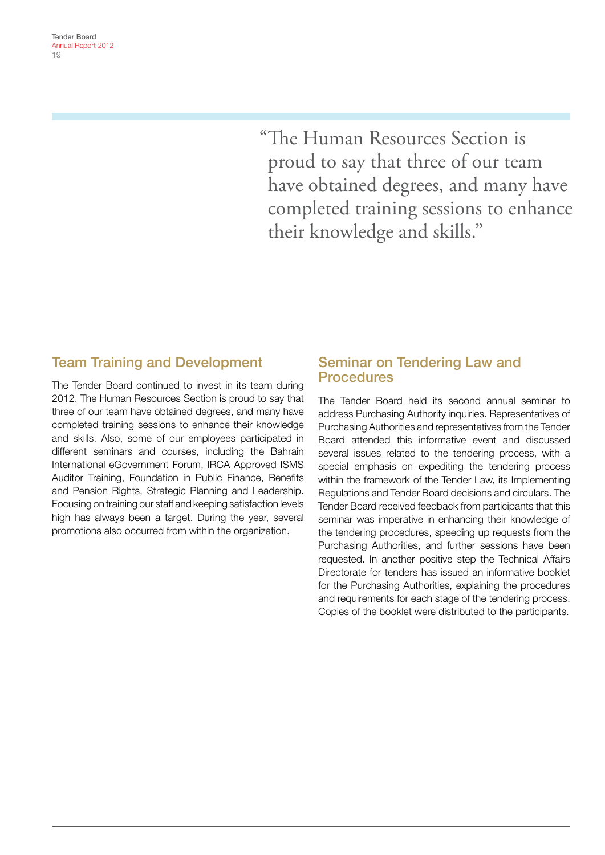"The Human Resources Section is proud to say that three of our team have obtained degrees, and many have completed training sessions to enhance their knowledge and skills."

#### Team Training and Development

The Tender Board continued to invest in its team during 2012. The Human Resources Section is proud to say that three of our team have obtained degrees, and many have completed training sessions to enhance their knowledge and skills. Also, some of our employees participated in different seminars and courses, including the Bahrain International eGovernment Forum, IRCA Approved ISMS Auditor Training, Foundation in Public Finance, Benefits and Pension Rights, Strategic Planning and Leadership. Focusing on training our staff and keeping satisfaction levels high has always been a target. During the year, several promotions also occurred from within the organization.

#### Seminar on Tendering Law and **Procedures**

The Tender Board held its second annual seminar to address Purchasing Authority inquiries. Representatives of Purchasing Authorities and representatives from the Tender Board attended this informative event and discussed several issues related to the tendering process, with a special emphasis on expediting the tendering process within the framework of the Tender Law, its Implementing Regulations and Tender Board decisions and circulars. The Tender Board received feedback from participants that this seminar was imperative in enhancing their knowledge of the tendering procedures, speeding up requests from the Purchasing Authorities, and further sessions have been requested. In another positive step the Technical Affairs Directorate for tenders has issued an informative booklet for the Purchasing Authorities, explaining the procedures and requirements for each stage of the tendering process. Copies of the booklet were distributed to the participants.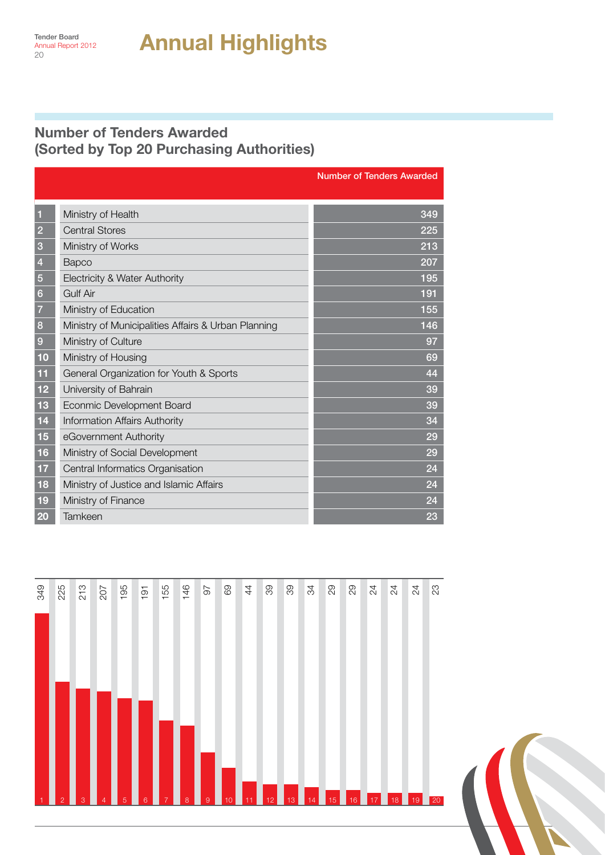#### Number of Tenders Awarded (Sorted by Top 20 Purchasing Authorities)

|                |                                                     | <b>Number of Tenders Awarded</b> |  |  |  |  |  |
|----------------|-----------------------------------------------------|----------------------------------|--|--|--|--|--|
|                |                                                     |                                  |  |  |  |  |  |
| ٦              | Ministry of Health                                  | 349                              |  |  |  |  |  |
| $\overline{2}$ | <b>Central Stores</b>                               | 225                              |  |  |  |  |  |
| 3              | Ministry of Works                                   | 213                              |  |  |  |  |  |
| $\overline{4}$ | <b>Bapco</b>                                        | 207                              |  |  |  |  |  |
| 5              | Electricity & Water Authority                       | 195                              |  |  |  |  |  |
| 6              | <b>Gulf Air</b>                                     | 191                              |  |  |  |  |  |
| 7              | Ministry of Education                               | 155                              |  |  |  |  |  |
| 8              | Ministry of Municipalities Affairs & Urban Planning | 146                              |  |  |  |  |  |
| 9              | Ministry of Culture                                 | 97                               |  |  |  |  |  |
| 10             | 69<br>Ministry of Housing                           |                                  |  |  |  |  |  |
| 11             | General Organization for Youth & Sports             | 44                               |  |  |  |  |  |
| 12             | University of Bahrain                               | 39                               |  |  |  |  |  |
| 13             | Econmic Development Board                           | 39                               |  |  |  |  |  |
| 14             | <b>Information Affairs Authority</b>                | 34                               |  |  |  |  |  |
| 15             | eGovernment Authority                               | 29                               |  |  |  |  |  |
| 16             | Ministry of Social Development                      | 29                               |  |  |  |  |  |
| 17             | Central Informatics Organisation                    | 24                               |  |  |  |  |  |
| 18             | Ministry of Justice and Islamic Affairs             | 24                               |  |  |  |  |  |
| 19             | Ministry of Finance                                 | 24                               |  |  |  |  |  |
| 20             | <b>Tamkeen</b>                                      | 23                               |  |  |  |  |  |

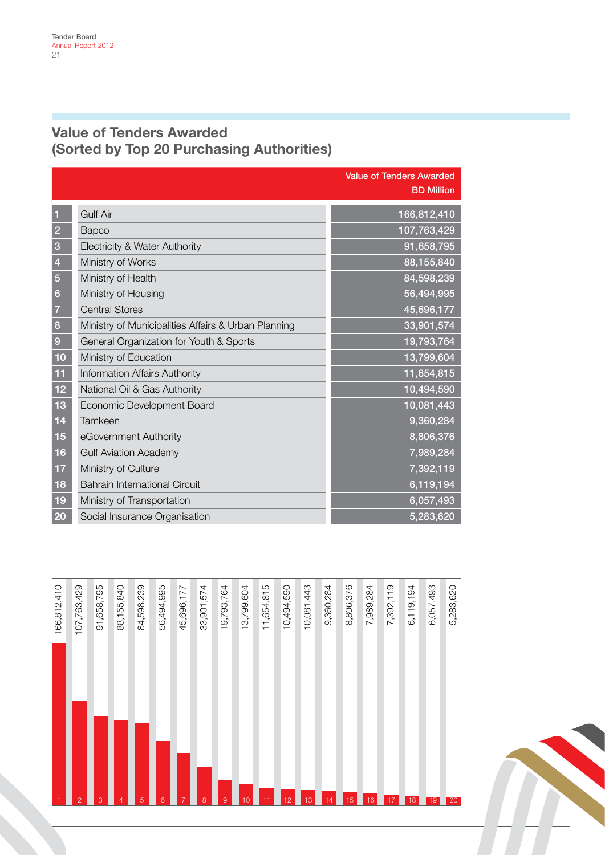#### Value of Tenders Awarded (Sorted by Top 20 Purchasing Authorities)

|                |                                                     | <b>Value of Tenders Awarded</b><br><b>BD Million</b> |
|----------------|-----------------------------------------------------|------------------------------------------------------|
| $\overline{1}$ | <b>Gulf Air</b>                                     | 166,812,410                                          |
| $\overline{2}$ | Bapco                                               | 107,763,429                                          |
| 3              | Electricity & Water Authority                       | 91,658,795                                           |
| $\overline{4}$ | Ministry of Works                                   | 88,155,840                                           |
| $\overline{5}$ | Ministry of Health                                  | 84,598,239                                           |
| $6\phantom{1}$ | Ministry of Housing                                 | 56,494,995                                           |
| $\overline{7}$ | <b>Central Stores</b>                               | 45,696,177                                           |
| 8              | Ministry of Municipalities Affairs & Urban Planning | 33,901,574                                           |
| 9              | General Organization for Youth & Sports             | 19,793,764                                           |
| 10             | Ministry of Education                               | 13,799,604                                           |
| 11             | Information Affairs Authority                       | 11,654,815                                           |
| 12             | National Oil & Gas Authority                        | 10,494,590                                           |
| 13             | Economic Development Board                          | 10,081,443                                           |
| 14             | Tamkeen                                             | 9,360,284                                            |
| 15             | eGovernment Authority                               | 8,806,376                                            |
| 16             | <b>Gulf Aviation Academy</b>                        | 7,989,284                                            |
| 17             | Ministry of Culture                                 | 7,392,119                                            |
| 18             | <b>Bahrain International Circuit</b>                | 6,119,194                                            |
| 19             | Ministry of Transportation                          | 6,057,493                                            |
| 20             | Social Insurance Organisation                       | 5,283,620                                            |



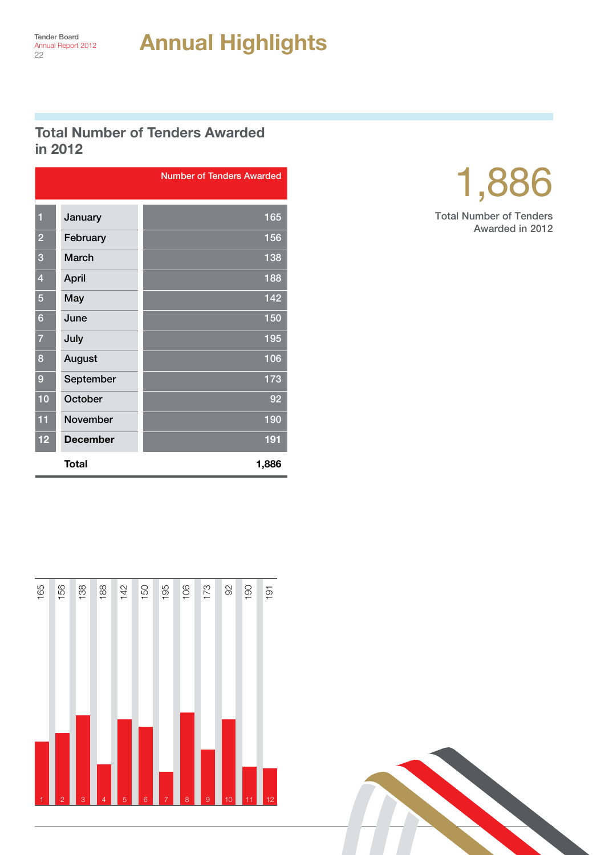#### Total Number of Tenders Awarded in 2012

|                |                 | <b>Number of Tenders Awarded</b> |
|----------------|-----------------|----------------------------------|
|                |                 |                                  |
| 1              | January         | 165                              |
| $\overline{2}$ | February        | 156                              |
| 3              | March           | 138                              |
| $\overline{4}$ | April           | 188                              |
| 5              | May             | 142                              |
| 6              | June            | 150                              |
| $\overline{7}$ | July            | 195                              |
| 8              | August          | 106                              |
| 9              | September       | 173                              |
| 10             | October         | 92                               |
| 11             | <b>November</b> | 190                              |
| 12             | <b>December</b> | 191                              |
|                | Total           | 1,886                            |





Total Number of Tenders Awarded in 2012

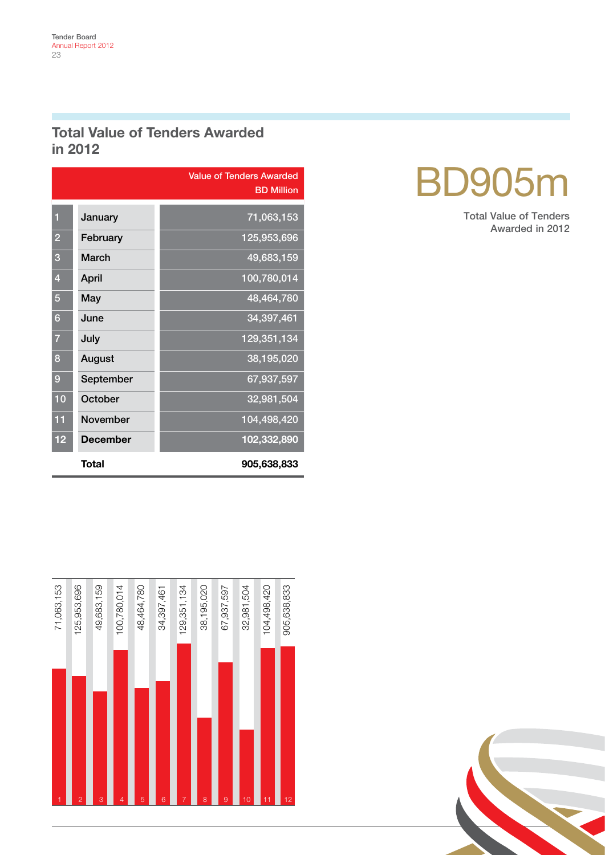#### Total Value of Tenders Awarded in 2012

|                |                 | <b>Value of Tenders Awarded</b><br><b>BD Million</b> |
|----------------|-----------------|------------------------------------------------------|
| 1              | January         | 71,063,153                                           |
| $\overline{2}$ | February        | 125,953,696                                          |
| 3              | March           | 49,683,159                                           |
| 4              | April           | 100,780,014                                          |
| 5              | May             | 48,464,780                                           |
| 6              | June            | 34,397,461                                           |
| 7              | July            | 129,351,134                                          |
| 8              | August          | 38,195,020                                           |
| 9              | September       | 67,937,597                                           |
| 10             | October         | 32,981,504                                           |
| 11             | <b>November</b> | 104,498,420                                          |
| 12             | <b>December</b> | 102,332,890                                          |
|                | Total           | 905,638,833                                          |





Total Value of Tenders Awarded in 2012

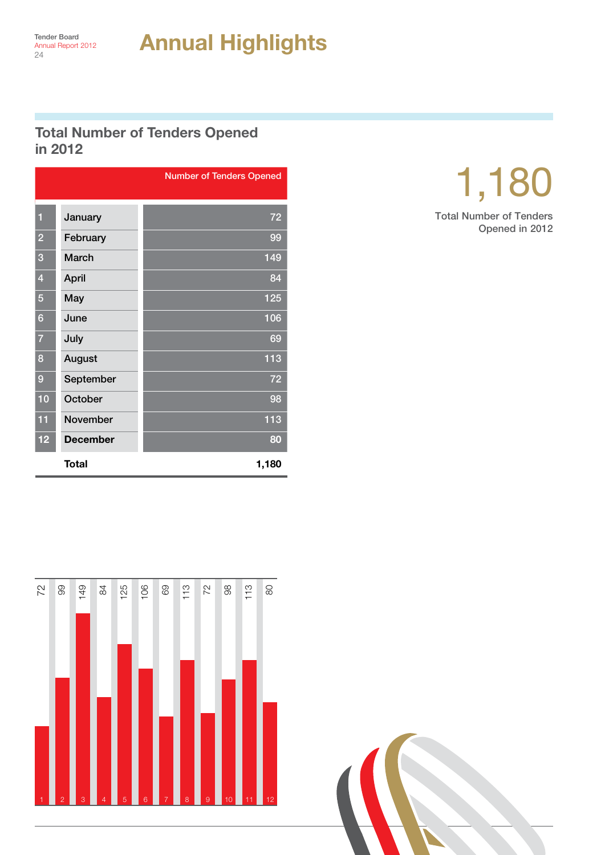#### Total Number of Tenders Opened in 2012

| January<br>February<br>$\overline{2}$<br>March<br>$\overline{3}$<br><b>April</b><br>$\vert$ 4<br>$\overline{5}$<br>May<br>$6\phantom{1}6$<br>June<br>July<br>$\overline{7}$<br>August<br>8<br>September<br>9<br>October<br>10<br>11<br>November<br><b>December</b><br>12<br><b>Total</b><br>99<br>149<br>$84$<br>25<br>72 |  |  |  |  |     |     |     |    |    |     | <b>Number of Tenders Opened</b> |  |
|---------------------------------------------------------------------------------------------------------------------------------------------------------------------------------------------------------------------------------------------------------------------------------------------------------------------------|--|--|--|--|-----|-----|-----|----|----|-----|---------------------------------|--|
|                                                                                                                                                                                                                                                                                                                           |  |  |  |  |     |     |     |    |    |     | 72                              |  |
|                                                                                                                                                                                                                                                                                                                           |  |  |  |  |     | 99  |     |    |    |     |                                 |  |
|                                                                                                                                                                                                                                                                                                                           |  |  |  |  |     | 149 |     |    |    |     |                                 |  |
|                                                                                                                                                                                                                                                                                                                           |  |  |  |  | 84  |     |     |    |    |     |                                 |  |
|                                                                                                                                                                                                                                                                                                                           |  |  |  |  | 125 |     |     |    |    |     |                                 |  |
|                                                                                                                                                                                                                                                                                                                           |  |  |  |  | 106 |     |     |    |    |     |                                 |  |
|                                                                                                                                                                                                                                                                                                                           |  |  |  |  |     |     |     |    |    |     | 69                              |  |
|                                                                                                                                                                                                                                                                                                                           |  |  |  |  |     |     |     |    |    |     | 113                             |  |
|                                                                                                                                                                                                                                                                                                                           |  |  |  |  |     |     |     |    |    |     | 72                              |  |
|                                                                                                                                                                                                                                                                                                                           |  |  |  |  |     |     |     |    |    |     | 98<br>113                       |  |
|                                                                                                                                                                                                                                                                                                                           |  |  |  |  |     |     |     |    |    |     | 80                              |  |
|                                                                                                                                                                                                                                                                                                                           |  |  |  |  |     |     |     |    |    |     |                                 |  |
|                                                                                                                                                                                                                                                                                                                           |  |  |  |  |     |     |     |    |    |     | 1,180                           |  |
|                                                                                                                                                                                                                                                                                                                           |  |  |  |  |     |     |     |    |    |     |                                 |  |
|                                                                                                                                                                                                                                                                                                                           |  |  |  |  |     |     |     |    |    |     |                                 |  |
|                                                                                                                                                                                                                                                                                                                           |  |  |  |  |     |     |     |    |    |     |                                 |  |
|                                                                                                                                                                                                                                                                                                                           |  |  |  |  |     |     |     |    |    |     |                                 |  |
|                                                                                                                                                                                                                                                                                                                           |  |  |  |  | 106 | 69  | 113 | 72 | 86 | 113 | $\infty$                        |  |
|                                                                                                                                                                                                                                                                                                                           |  |  |  |  |     |     |     |    |    |     |                                 |  |
|                                                                                                                                                                                                                                                                                                                           |  |  |  |  |     |     |     |    |    |     |                                 |  |
|                                                                                                                                                                                                                                                                                                                           |  |  |  |  |     |     |     |    |    |     |                                 |  |
|                                                                                                                                                                                                                                                                                                                           |  |  |  |  |     |     |     |    |    |     |                                 |  |
|                                                                                                                                                                                                                                                                                                                           |  |  |  |  |     |     |     |    |    |     |                                 |  |
|                                                                                                                                                                                                                                                                                                                           |  |  |  |  |     |     |     |    |    |     |                                 |  |
|                                                                                                                                                                                                                                                                                                                           |  |  |  |  |     |     |     |    |    |     |                                 |  |
|                                                                                                                                                                                                                                                                                                                           |  |  |  |  |     |     |     |    |    |     |                                 |  |
|                                                                                                                                                                                                                                                                                                                           |  |  |  |  |     |     |     |    |    |     |                                 |  |



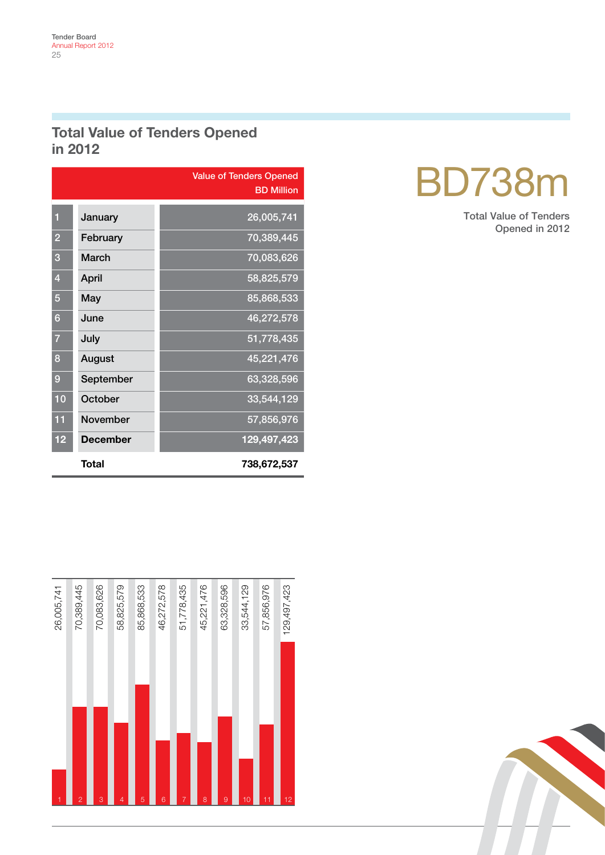#### Total Value of Tenders Opened in 2012

|                |                 | <b>Value of Tenders Opened</b><br><b>BD Million</b> |
|----------------|-----------------|-----------------------------------------------------|
| 1              | January         | 26,005,741                                          |
| $\overline{2}$ | February        | 70,389,445                                          |
| 3              | March           | 70,083,626                                          |
| $\overline{4}$ | April           | 58,825,579                                          |
| 5              | May             | 85,868,533                                          |
| 6              | June            | 46,272,578                                          |
| 7              | July            | 51,778,435                                          |
| 8              | August          | 45,221,476                                          |
| 9              | September       | 63,328,596                                          |
| 10             | October         | 33,544,129                                          |
| 11             | <b>November</b> | 57,856,976                                          |
| 12             | <b>December</b> | 129,497,423                                         |
|                | Total           | 738,672,537                                         |



## BD738m

Total Value of Tenders Opened in 2012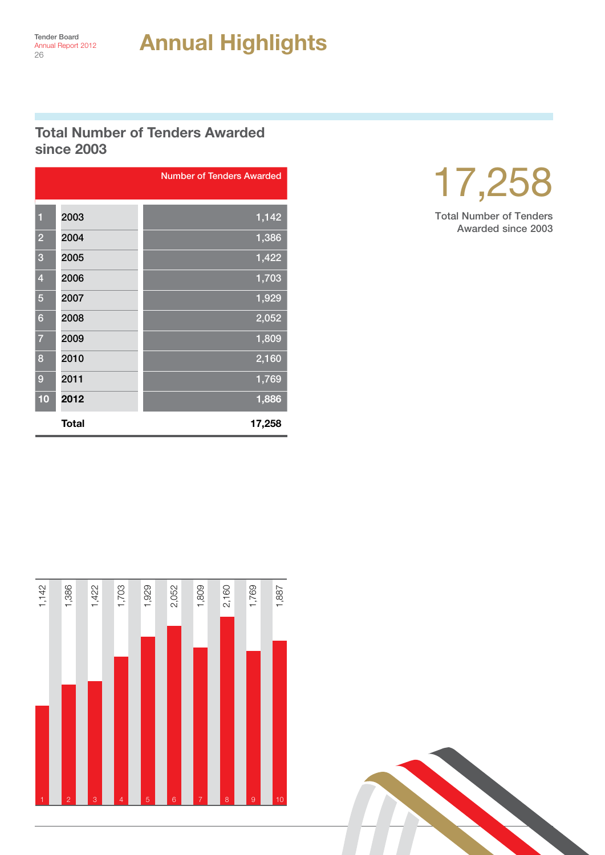#### Total Number of Tenders Awarded since 2003

|                |              | <b>Number of Tenders Awarded</b> |
|----------------|--------------|----------------------------------|
|                |              |                                  |
| $\mathbf{1}$   | 2003         | 1,142                            |
| $\overline{2}$ | 2004         | 1,386                            |
| 3              | 2005         | 1,422                            |
| $\overline{4}$ | 2006         | 1,703                            |
| 5              | 2007         | 1,929                            |
| 6              | 2008         | 2,052                            |
| $\overline{7}$ | 2009         | 1,809                            |
| 8              | 2010         | 2,160                            |
| 9              | 2011         | 1,769                            |
| 10             | 2012         | 1,886                            |
|                | <b>Total</b> | 17,258                           |



Total Number of Tenders Awarded since 2003



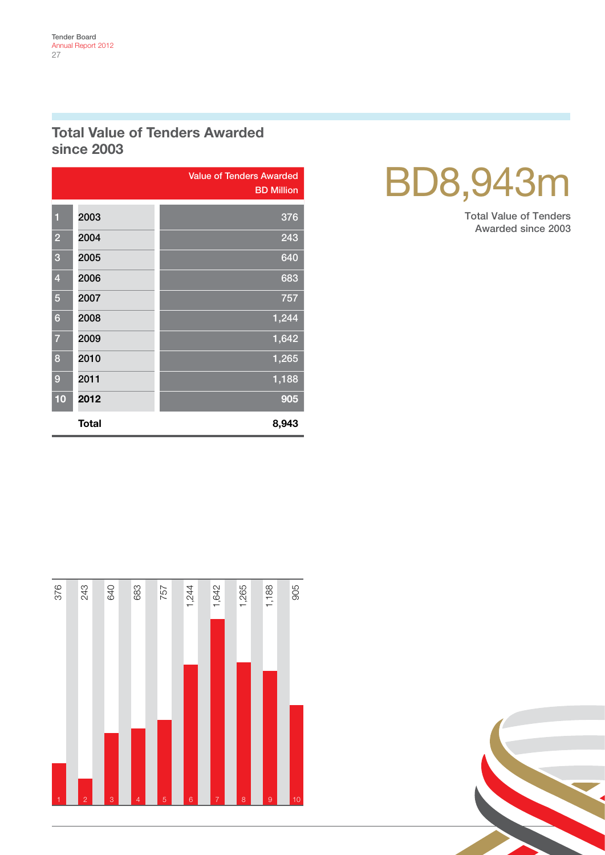#### Total Value of Tenders Awarded since 2003

|                         |              | <b>Value of Tenders Awarded</b><br><b>BD Million</b> |
|-------------------------|--------------|------------------------------------------------------|
| 1                       | 2003         | 376                                                  |
|                         |              |                                                      |
| $\overline{2}$          | 2004         | 243                                                  |
| 3                       | 2005         | 640                                                  |
| $\overline{\mathbf{4}}$ | 2006         | 683                                                  |
| 5                       | 2007         | 757                                                  |
| $6\phantom{1}6$         | 2008         | 1,244                                                |
| $\overline{7}$          | 2009         | 1,642                                                |
| 8                       | 2010         | 1,265                                                |
| 9                       | 2011         | 1,188                                                |
| 10                      | 2012         | 905                                                  |
|                         | <b>Total</b> | 8,943                                                |

## BD8,943m

Total Value of Tenders Awarded since 2003



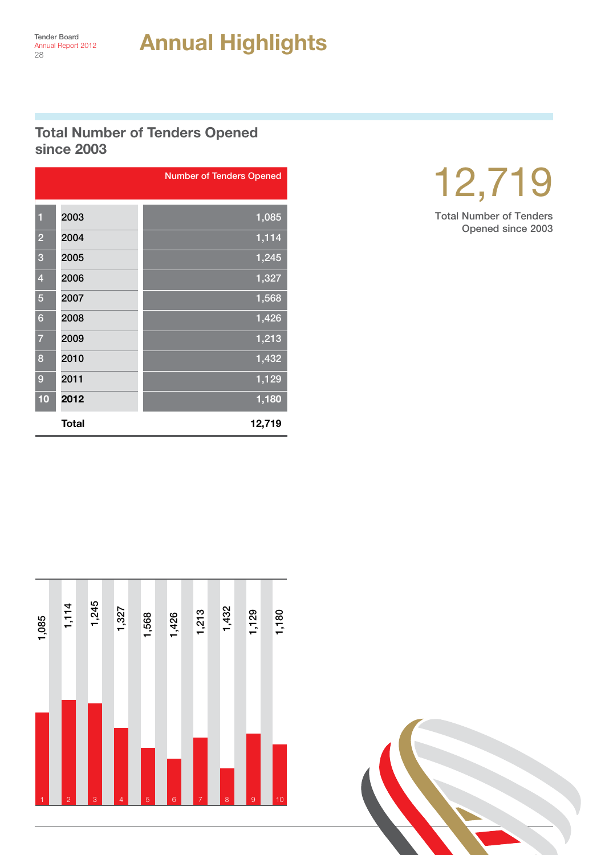#### Total Number of Tenders Opened since 2003

|                         |              | <b>Number of Tenders Opened</b> |
|-------------------------|--------------|---------------------------------|
|                         |              |                                 |
| $\blacksquare$          | 2003         | 1,085                           |
| $\overline{2}$          | 2004         | 1,114                           |
| 3                       | 2005         | 1,245                           |
| $\overline{\mathbf{4}}$ | 2006         | 1,327                           |
| 5                       | 2007         | 1,568                           |
| 6                       | 2008         | 1,426                           |
| $\overline{7}$          | 2009         | 1,213                           |
| 8                       | 2010         | 1,432                           |
| 9                       | 2011         | 1,129                           |
| 10                      | 2012         | 1,180                           |
|                         | <b>Total</b> | 12,719                          |



Total Number of Tenders Opened since 2003



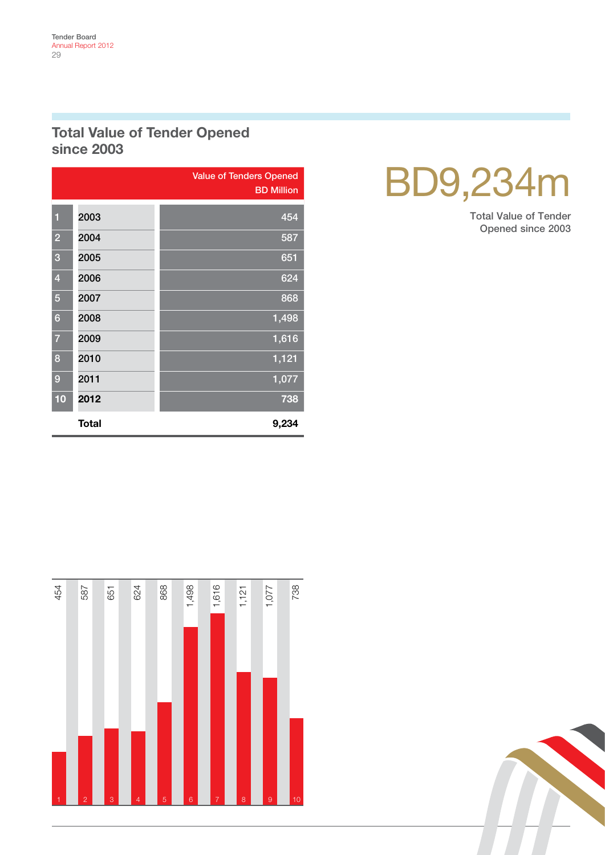#### Total Value of Tender Opened since 2003

|                 |              | <b>Value of Tenders Opened</b><br><b>BD</b> Million |
|-----------------|--------------|-----------------------------------------------------|
| 1               | 2003         | 454                                                 |
| $\overline{2}$  | 2004         | 587                                                 |
| 3               | 2005         | 651                                                 |
| $\overline{4}$  | 2006         | 624                                                 |
| 5               | 2007         | 868                                                 |
| $6\phantom{1}6$ | 2008         | 1,498                                               |
| $\overline{7}$  | 2009         | 1,616                                               |
| 8               | 2010         | 1,121                                               |
| 9               | 2011         | 1,077                                               |
| 10              | 2012         | 738                                                 |
|                 | <b>Total</b> | 9,234                                               |

## BD9,234m

Total Value of Tender Opened since 2003



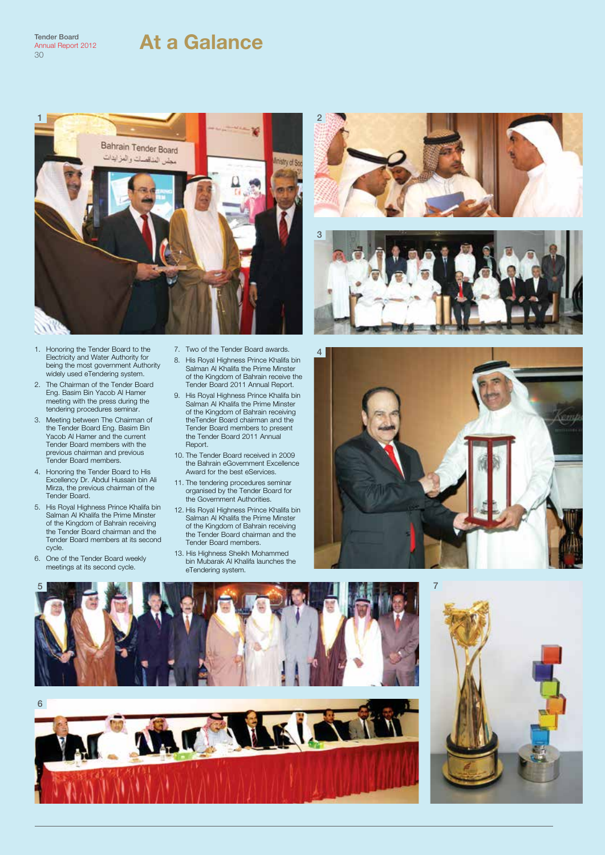#### At a Galance

Tender Board Annual Report 2012 30



- 1. Honoring the Tender Board to the Electricity and Water Authority for being the most government Authority widely used eTendering system.
- 2. The Chairman of the Tender Board Eng. Basim Bin Yacob Al Hamer meeting with the press during the tendering procedures seminar.
- 3. Meeting between The Chairman of the Tender Board Eng. Basim Bin Yacob Al Hamer and the current Tender Board members with the previous chairman and previous Tender Board members.
- 4. Honoring the Tender Board to His Excellency Dr. Abdul Hussain bin Ali Mirza, the previous chairman of the Tender Board.
- 5. His Royal Highness Prince Khalifa bin Salman Al Khalifa the Prime Minster of the Kingdom of Bahrain receiving the Tender Board chairman and the Tender Board members at its second cycle.
- 6. One of the Tender Board weekly meetings at its second cycle.
- 7. Two of the Tender Board awards.
- 8. His Royal Highness Prince Khalifa bin Salman Al Khalifa the Prime Minster of the Kingdom of Bahrain receive the Tender Board 2011 Annual Report.
- 9. His Royal Highness Prince Khalifa bin Salman Al Khalifa the Prime Minster of the Kingdom of Bahrain receiving theTender Board chairman and the Tender Board members to present the Tender Board 2011 Annual Report.
- 10. The Tender Board received in 2009 the Bahrain eGovernment Excellence Award for the best eServices.
- 11. The tendering procedures seminar organised by the Tender Board for the Government Authorities.
- 12. His Royal Highness Prince Khalifa bin Salman Al Khalifa the Prime Minster of the Kingdom of Bahrain receiving the Tender Board chairman and the Tender Board members.
- 13. His Highness Sheikh Mohammed bin Mubarak Al Khalifa launches the eTendering system.